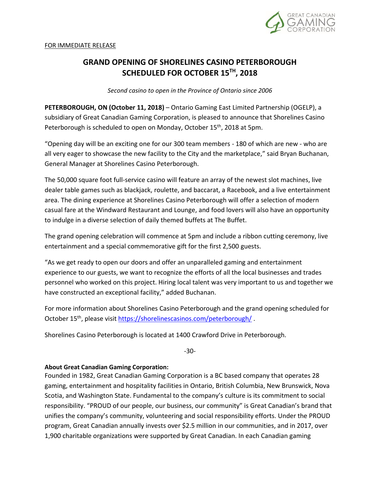

## **GRAND OPENING OF SHORELINES CASINO PETERBOROUGH SCHEDULED FOR OCTOBER 15 TH, 2018**

*Second casino to open in the Province of Ontario since 2006*

PETERBOROUGH, ON (October 11, 2018) - Ontario Gaming East Limited Partnership (OGELP), a subsidiary of Great Canadian Gaming Corporation, is pleased to announce that Shorelines Casino Peterborough is scheduled to open on Monday, October 15<sup>th</sup>, 2018 at 5pm.

"Opening day will be an exciting one for our 300 team members - 180 of which are new - who are all very eager to showcase the new facility to the City and the marketplace," said Bryan Buchanan, General Manager at Shorelines Casino Peterborough.

The 50,000 square foot full-service casino will feature an array of the newest slot machines, live dealer table games such as blackjack, roulette, and baccarat, a Racebook, and a live entertainment area. The dining experience at Shorelines Casino Peterborough will offer a selection of modern casual fare at the Windward Restaurant and Lounge, and food lovers will also have an opportunity to indulge in a diverse selection of daily themed buffets at The Buffet.

The grand opening celebration will commence at 5pm and include a ribbon cutting ceremony, live entertainment and a special commemorative gift for the first 2,500 guests.

"As we get ready to open our doors and offer an unparalleled gaming and entertainment experience to our guests, we want to recognize the efforts of all the local businesses and trades personnel who worked on this project. Hiring local talent was very important to us and together we have constructed an exceptional facility," added Buchanan.

For more information about Shorelines Casino Peterborough and the grand opening scheduled for October 15<sup>th</sup>, please visi[t https://shorelinescasinos.com/peterborough/](https://shorelinescasinos.com/peterborough/).

Shorelines Casino Peterborough is located at 1400 Crawford Drive in Peterborough.

-30-

## **About Great Canadian Gaming Corporation:**

Founded in 1982, Great Canadian Gaming Corporation is a BC based company that operates 28 gaming, entertainment and hospitality facilities in Ontario, British Columbia, New Brunswick, Nova Scotia, and Washington State. Fundamental to the company's culture is its commitment to social responsibility. "PROUD of our people, our business, our community" is Great Canadian's brand that unifies the company's community, volunteering and social responsibility efforts. Under the PROUD program, Great Canadian annually invests over \$2.5 million in our communities, and in 2017, over 1,900 charitable organizations were supported by Great Canadian. In each Canadian gaming